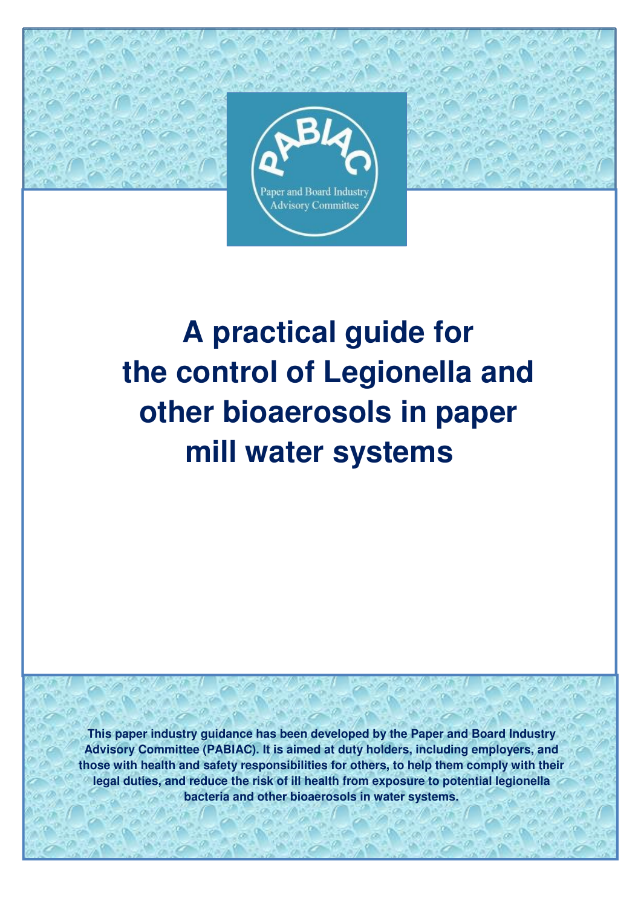

# **A practical guide for the control of Legionella and other bioaerosols in paper mill water systems**

**This paper industry guidance has been developed by the Paper and Board Industry Advisory Committee (PABIAC). It is aimed at duty holders, including employers, and those with health and safety responsibilities for others, to help them comply with their legal duties, and reduce the risk of ill health from exposure to potential legionella bacteria and other bioaerosols in water systems.**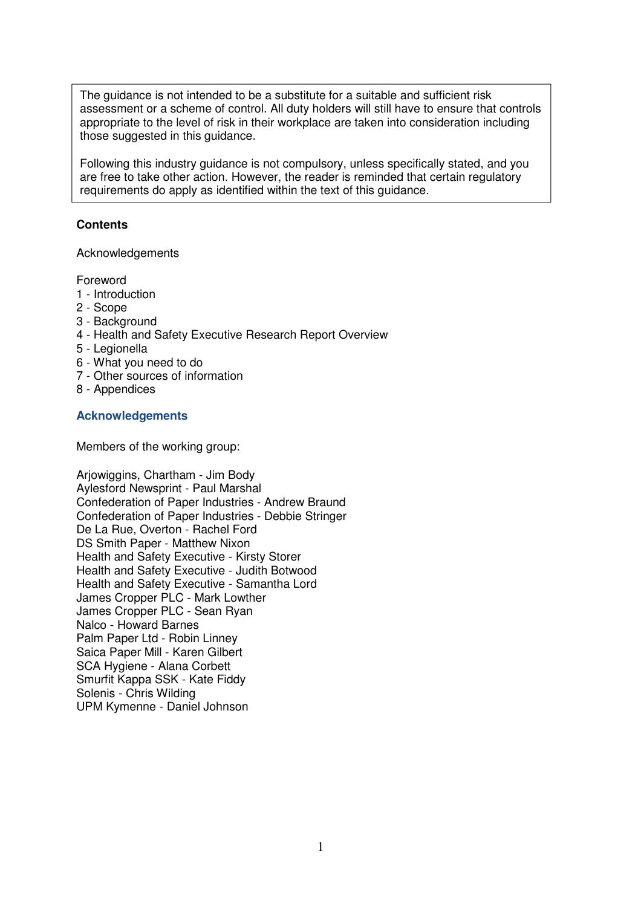The guidance is not intended to be a substitute for a suitable and sufficient risk assessment or a scheme of control. All duty holders will still have to ensure that controls appropriate to the level of risk in their workplace are taken into consideration including those suggested in this guidance.

Following this industry guidance is not compulsory, unless specifically stated, and you are free to take other action. However, the reader is reminded that certain regulatory requirements do apply as identified within the text of this guidance.

#### **Contents**

Acknowledgements

Foreword

- 1 Introduction
- 2 Scope
- 3 Background
- 4 Health and Safety Executive Research Report Overview
- 5 Legionella
- 6 What you need to do
- 7 Other sources of information
- 8 Appendices

#### **Acknowledgements**

Members of the working group:

Arjowiggins, Chartham - Jim Body Aylesford Newsprint - Paul Marshal Confederation of Paper Industries - Andrew Braund Confederation of Paper Industries - Debbie Stringer De La Rue, Overton - Rachel Ford DS Smith Paper - Matthew Nixon Health and Safety Executive - Kirsty Storer Health and Safety Executive - Judith Botwood Health and Safety Executive - Samantha Lord James Cropper PLC - Mark Lowther James Cropper PLC - Sean Ryan Nalco - Howard Barnes Palm Paper Ltd - Robin Linney Saica Paper Mill - Karen Gilbert SCA Hygiene - Alana Corbett Smurfit Kappa SSK - Kate Fiddy Solenis - Chris Wilding UPM Kymenne - Daniel Johnson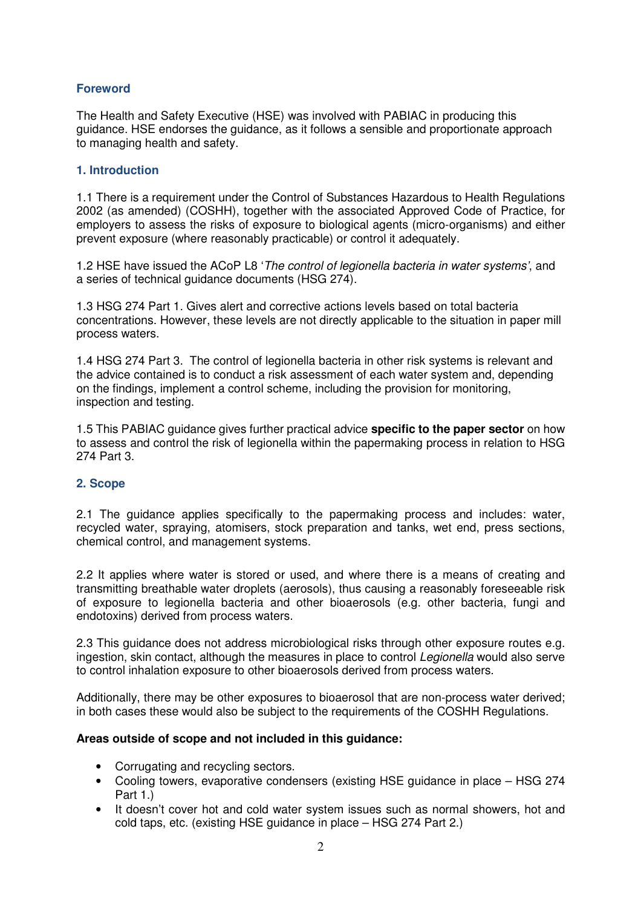## **Foreword**

The Health and Safety Executive (HSE) was involved with PABIAC in producing this guidance. HSE endorses the guidance, as it follows a sensible and proportionate approach to managing health and safety.

#### **1. Introduction**

1.1 There is a requirement under the Control of Substances Hazardous to Health Regulations 2002 (as amended) (COSHH), together with the associated Approved Code of Practice, for employers to assess the risks of exposure to biological agents (micro-organisms) and either prevent exposure (where reasonably practicable) or control it adequately.

1.2 HSE have issued the ACoP L8 'The control of legionella bacteria in water systems', and a series of technical guidance documents (HSG 274).

1.3 HSG 274 Part 1. Gives alert and corrective actions levels based on total bacteria concentrations. However, these levels are not directly applicable to the situation in paper mill process waters.

1.4 HSG 274 Part 3. The control of legionella bacteria in other risk systems is relevant and the advice contained is to conduct a risk assessment of each water system and, depending on the findings, implement a control scheme, including the provision for monitoring, inspection and testing.

1.5 This PABIAC guidance gives further practical advice **specific to the paper sector** on how to assess and control the risk of legionella within the papermaking process in relation to HSG 274 Part 3.

#### **2. Scope**

2.1 The guidance applies specifically to the papermaking process and includes: water, recycled water, spraying, atomisers, stock preparation and tanks, wet end, press sections, chemical control, and management systems.

2.2 It applies where water is stored or used, and where there is a means of creating and transmitting breathable water droplets (aerosols), thus causing a reasonably foreseeable risk of exposure to legionella bacteria and other bioaerosols (e.g. other bacteria, fungi and endotoxins) derived from process waters.

2.3 This guidance does not address microbiological risks through other exposure routes e.g. ingestion, skin contact, although the measures in place to control *Legionella* would also serve to control inhalation exposure to other bioaerosols derived from process waters.

Additionally, there may be other exposures to bioaerosol that are non-process water derived; in both cases these would also be subject to the requirements of the COSHH Regulations.

#### **Areas outside of scope and not included in this guidance:**

- Corrugating and recycling sectors.
- Cooling towers, evaporative condensers (existing HSE guidance in place HSG 274 Part 1.)
- It doesn't cover hot and cold water system issues such as normal showers, hot and cold taps, etc. (existing HSE guidance in place – HSG 274 Part 2.)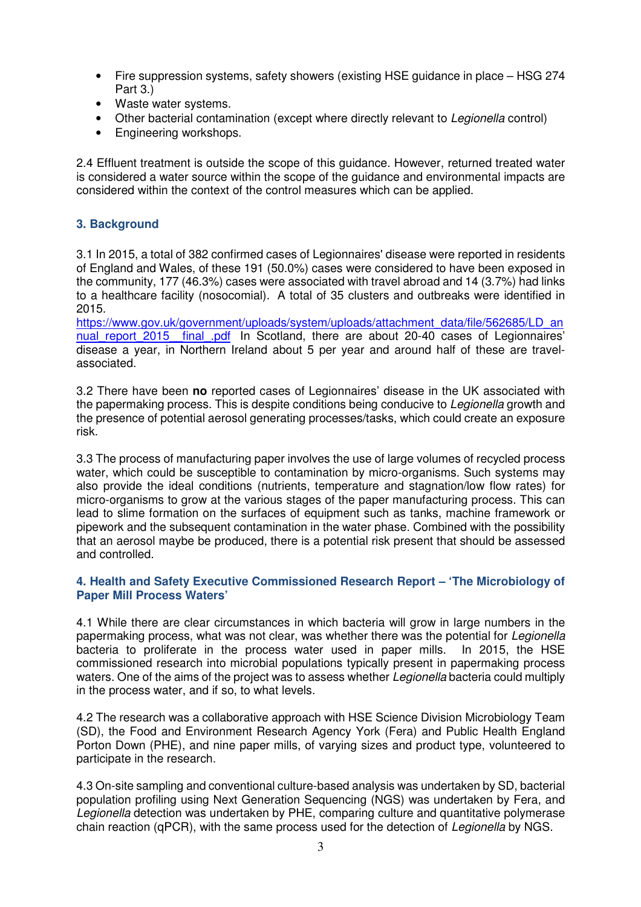- Fire suppression systems, safety showers (existing HSE guidance in place HSG 274 Part 3.)
- Waste water systems.
- Other bacterial contamination (except where directly relevant to Legionella control)
- Engineering workshops.

2.4 Effluent treatment is outside the scope of this guidance. However, returned treated water is considered a water source within the scope of the guidance and environmental impacts are considered within the context of the control measures which can be applied.

## **3. Background**

3.1 In 2015, a total of 382 confirmed cases of Legionnaires' disease were reported in residents of England and Wales, of these 191 (50.0%) cases were considered to have been exposed in the community, 177 (46.3%) cases were associated with travel abroad and 14 (3.7%) had links to a healthcare facility (nosocomial). A total of 35 clusters and outbreaks were identified in 2015.

https://www.gov.uk/government/uploads/system/uploads/attachment\_data/file/562685/LD\_an nual report 2015 final pdf In Scotland, there are about 20-40 cases of Legionnaires' disease a year, in Northern Ireland about 5 per year and around half of these are travelassociated.

3.2 There have been **no** reported cases of Legionnaires' disease in the UK associated with the papermaking process. This is despite conditions being conducive to *Legionella* growth and the presence of potential aerosol generating processes/tasks, which could create an exposure risk.

3.3 The process of manufacturing paper involves the use of large volumes of recycled process water, which could be susceptible to contamination by micro-organisms. Such systems may also provide the ideal conditions (nutrients, temperature and stagnation/low flow rates) for micro-organisms to grow at the various stages of the paper manufacturing process. This can lead to slime formation on the surfaces of equipment such as tanks, machine framework or pipework and the subsequent contamination in the water phase. Combined with the possibility that an aerosol maybe be produced, there is a potential risk present that should be assessed and controlled.

#### **4. Health and Safety Executive Commissioned Research Report – 'The Microbiology of Paper Mill Process Waters'**

4.1 While there are clear circumstances in which bacteria will grow in large numbers in the papermaking process, what was not clear, was whether there was the potential for Legionella bacteria to proliferate in the process water used in paper mills. In 2015, the HSE commissioned research into microbial populations typically present in papermaking process waters. One of the aims of the project was to assess whether Legionella bacteria could multiply in the process water, and if so, to what levels.

4.2 The research was a collaborative approach with HSE Science Division Microbiology Team (SD), the Food and Environment Research Agency York (Fera) and Public Health England Porton Down (PHE), and nine paper mills, of varying sizes and product type, volunteered to participate in the research.

4.3 On-site sampling and conventional culture-based analysis was undertaken by SD, bacterial population profiling using Next Generation Sequencing (NGS) was undertaken by Fera, and Legionella detection was undertaken by PHE, comparing culture and quantitative polymerase chain reaction (qPCR), with the same process used for the detection of Legionella by NGS.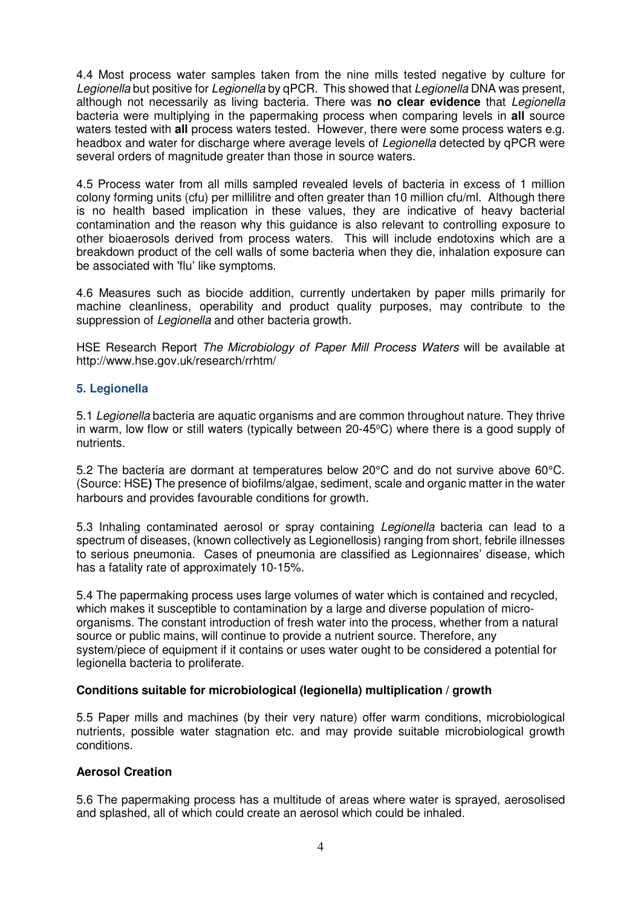4.4 Most process water samples taken from the nine mills tested negative by culture for Legionella but positive for Legionella by qPCR. This showed that Legionella DNA was present, although not necessarily as living bacteria. There was **no clear evidence** that Legionella bacteria were multiplying in the papermaking process when comparing levels in **all** source waters tested with **all** process waters tested. However, there were some process waters e.g. headbox and water for discharge where average levels of Legionella detected by qPCR were several orders of magnitude greater than those in source waters.

4.5 Process water from all mills sampled revealed levels of bacteria in excess of 1 million colony forming units (cfu) per millilitre and often greater than 10 million cfu/ml. Although there is no health based implication in these values, they are indicative of heavy bacterial contamination and the reason why this guidance is also relevant to controlling exposure to other bioaerosols derived from process waters. This will include endotoxins which are a breakdown product of the cell walls of some bacteria when they die, inhalation exposure can be associated with 'flu' like symptoms.

4.6 Measures such as biocide addition, currently undertaken by paper mills primarily for machine cleanliness, operability and product quality purposes, may contribute to the suppression of Legionella and other bacteria growth.

HSE Research Report The Microbiology of Paper Mill Process Waters will be available at http://www.hse.gov.uk/research/rrhtm/

#### **5. Legionella**

5.1 Legionella bacteria are aquatic organisms and are common throughout nature. They thrive in warm, low flow or still waters (typically between 20-45 $\degree$ C) where there is a good supply of nutrients.

5.2 The bacteria are dormant at temperatures below 20°C and do not survive above 60°C. (Source: HSE**)** The presence of biofilms/algae, sediment, scale and organic matter in the water harbours and provides favourable conditions for growth.

5.3 Inhaling contaminated aerosol or spray containing Legionella bacteria can lead to a spectrum of diseases, (known collectively as Legionellosis) ranging from short, febrile illnesses to serious pneumonia. Cases of pneumonia are classified as Legionnaires' disease, which has a fatality rate of approximately 10-15%.

5.4 The papermaking process uses large volumes of water which is contained and recycled, which makes it susceptible to contamination by a large and diverse population of microorganisms. The constant introduction of fresh water into the process, whether from a natural source or public mains, will continue to provide a nutrient source. Therefore, any system/piece of equipment if it contains or uses water ought to be considered a potential for legionella bacteria to proliferate.

#### **Conditions suitable for microbiological (legionella) multiplication / growth**

5.5 Paper mills and machines (by their very nature) offer warm conditions, microbiological nutrients, possible water stagnation etc. and may provide suitable microbiological growth conditions.

## **Aerosol Creation**

5.6 The papermaking process has a multitude of areas where water is sprayed, aerosolised and splashed, all of which could create an aerosol which could be inhaled.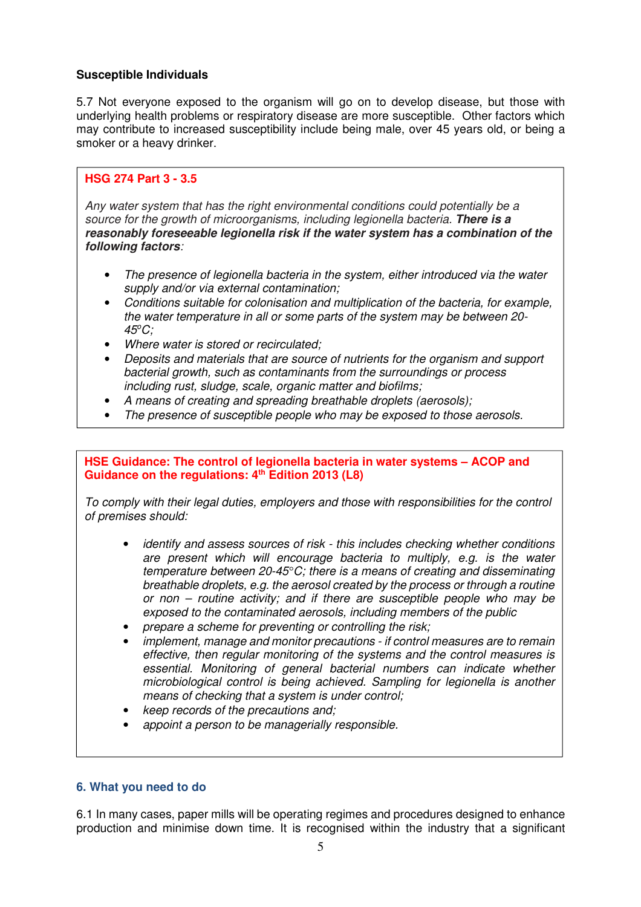#### **Susceptible Individuals**

5.7 Not everyone exposed to the organism will go on to develop disease, but those with underlying health problems or respiratory disease are more susceptible. Other factors which may contribute to increased susceptibility include being male, over 45 years old, or being a smoker or a heavy drinker.

## **HSG 274 Part 3 - 3.5**

Any water system that has the right environmental conditions could potentially be a source for the growth of microorganisms, including legionella bacteria. **There is a reasonably foreseeable legionella risk if the water system has a combination of the following factors**:

- The presence of legionella bacteria in the system, either introduced via the water supply and/or via external contamination;
- Conditions suitable for colonisation and multiplication of the bacteria, for example, the water temperature in all or some parts of the system may be between 20-  $45^{\circ}$ C:
- Where water is stored or recirculated:
- Deposits and materials that are source of nutrients for the organism and support bacterial growth, such as contaminants from the surroundings or process including rust, sludge, scale, organic matter and biofilms;
- A means of creating and spreading breathable droplets (aerosols);
- The presence of susceptible people who may be exposed to those aerosols.

**HSE Guidance: The control of legionella bacteria in water systems – ACOP and Guidance on the regulations: 4th Edition 2013 (L8)**

To comply with their legal duties, employers and those with responsibilities for the control of premises should:

- identify and assess sources of risk this includes checking whether conditions are present which will encourage bacteria to multiply, e.g. is the water temperature between 20-45 $\degree$ C; there is a means of creating and disseminating breathable droplets, e.g. the aerosol created by the process or through a routine or non – routine activity; and if there are susceptible people who may be exposed to the contaminated aerosols, including members of the public
- prepare a scheme for preventing or controlling the risk;
- implement, manage and monitor precautions if control measures are to remain effective, then regular monitoring of the systems and the control measures is essential. Monitoring of general bacterial numbers can indicate whether microbiological control is being achieved. Sampling for legionella is another means of checking that a system is under control;
- keep records of the precautions and;
- appoint a person to be managerially responsible.

#### **6. What you need to do**

6.1 In many cases, paper mills will be operating regimes and procedures designed to enhance production and minimise down time. It is recognised within the industry that a significant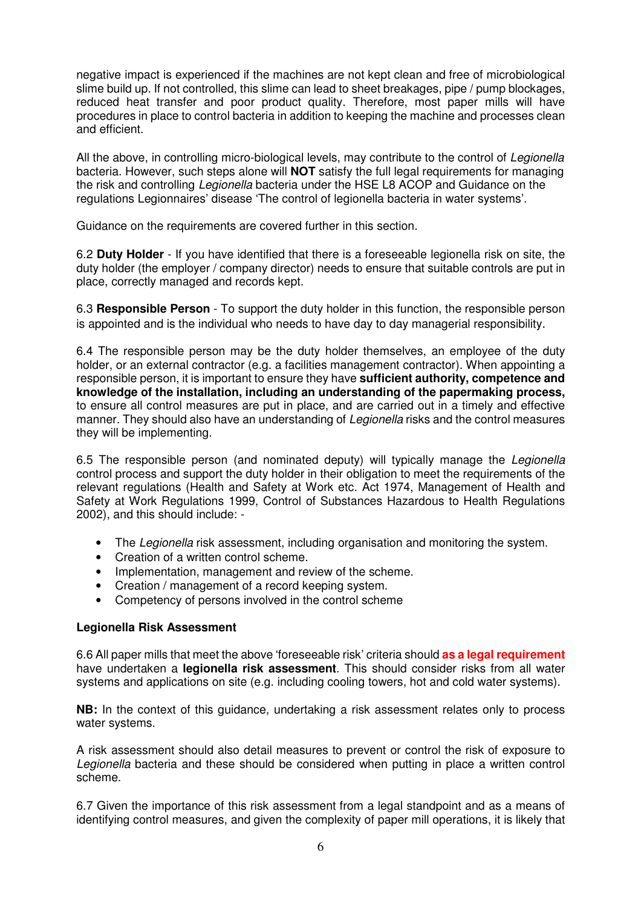negative impact is experienced if the machines are not kept clean and free of microbiological slime build up. If not controlled, this slime can lead to sheet breakages, pipe / pump blockages, reduced heat transfer and poor product quality. Therefore, most paper mills will have procedures in place to control bacteria in addition to keeping the machine and processes clean and efficient.

All the above, in controlling micro-biological levels, may contribute to the control of Legionella bacteria. However, such steps alone will **NOT** satisfy the full legal requirements for managing the risk and controlling Legionella bacteria under the HSE L8 ACOP and Guidance on the regulations Legionnaires' disease 'The control of legionella bacteria in water systems'.

Guidance on the requirements are covered further in this section.

6.2 **Duty Holder** - If you have identified that there is a foreseeable legionella risk on site, the duty holder (the employer / company director) needs to ensure that suitable controls are put in place, correctly managed and records kept.

6.3 **Responsible Person** - To support the duty holder in this function, the responsible person is appointed and is the individual who needs to have day to day managerial responsibility.

6.4 The responsible person may be the duty holder themselves, an employee of the duty holder, or an external contractor (e.g. a facilities management contractor). When appointing a responsible person, it is important to ensure they have **sufficient authority, competence and knowledge of the installation, including an understanding of the papermaking process,**  to ensure all control measures are put in place, and are carried out in a timely and effective manner. They should also have an understanding of Legionella risks and the control measures they will be implementing.

6.5 The responsible person (and nominated deputy) will typically manage the Legionella control process and support the duty holder in their obligation to meet the requirements of the relevant regulations (Health and Safety at Work etc. Act 1974, Management of Health and Safety at Work Regulations 1999, Control of Substances Hazardous to Health Regulations 2002), and this should include: -

- The Legionella risk assessment, including organisation and monitoring the system.
- Creation of a written control scheme.
- Implementation, management and review of the scheme.
- Creation / management of a record keeping system.
- Competency of persons involved in the control scheme

#### **Legionella Risk Assessment**

6.6 All paper mills that meet the above 'foreseeable risk' criteria should **as a legal requirement** have undertaken a **legionella risk assessment**. This should consider risks from all water systems and applications on site (e.g. including cooling towers, hot and cold water systems).

**NB:** In the context of this guidance, undertaking a risk assessment relates only to process water systems.

A risk assessment should also detail measures to prevent or control the risk of exposure to Legionella bacteria and these should be considered when putting in place a written control scheme.

6.7 Given the importance of this risk assessment from a legal standpoint and as a means of identifying control measures, and given the complexity of paper mill operations, it is likely that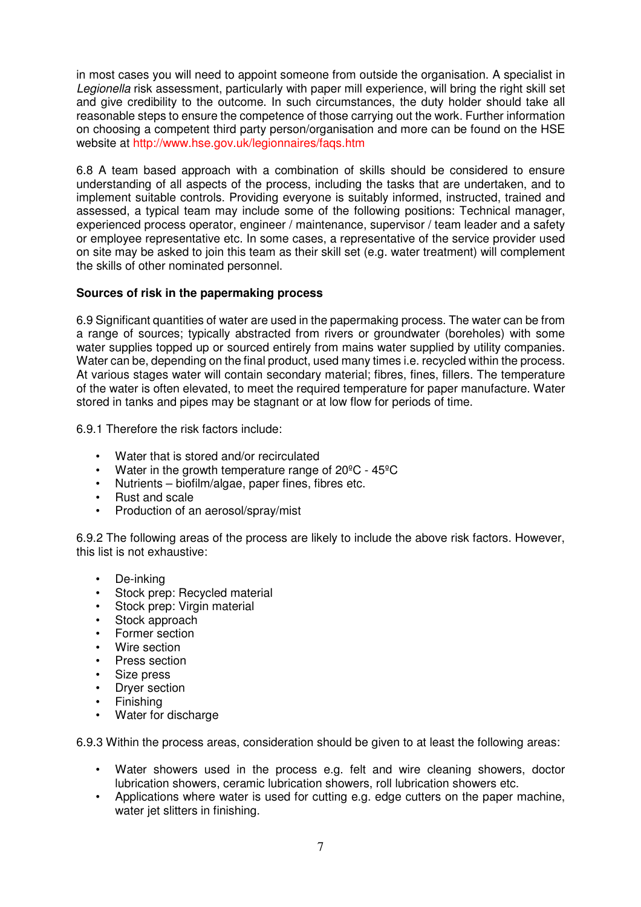in most cases you will need to appoint someone from outside the organisation. A specialist in Legionella risk assessment, particularly with paper mill experience, will bring the right skill set and give credibility to the outcome. In such circumstances, the duty holder should take all reasonable steps to ensure the competence of those carrying out the work. Further information on choosing a competent third party person/organisation and more can be found on the HSE website at http://www.hse.gov.uk/legionnaires/faqs.htm

6.8 A team based approach with a combination of skills should be considered to ensure understanding of all aspects of the process, including the tasks that are undertaken, and to implement suitable controls. Providing everyone is suitably informed, instructed, trained and assessed, a typical team may include some of the following positions: Technical manager, experienced process operator, engineer / maintenance, supervisor / team leader and a safety or employee representative etc. In some cases, a representative of the service provider used on site may be asked to join this team as their skill set (e.g. water treatment) will complement the skills of other nominated personnel.

## **Sources of risk in the papermaking process**

6.9 Significant quantities of water are used in the papermaking process. The water can be from a range of sources; typically abstracted from rivers or groundwater (boreholes) with some water supplies topped up or sourced entirely from mains water supplied by utility companies. Water can be, depending on the final product, used many times i.e. recycled within the process. At various stages water will contain secondary material; fibres, fines, fillers. The temperature of the water is often elevated, to meet the required temperature for paper manufacture. Water stored in tanks and pipes may be stagnant or at low flow for periods of time.

6.9.1 Therefore the risk factors include:

- Water that is stored and/or recirculated
- Water in the growth temperature range of 20ºC 45ºC
- Nutrients biofilm/algae, paper fines, fibres etc.
- Rust and scale
- Production of an aerosol/spray/mist

6.9.2 The following areas of the process are likely to include the above risk factors. However, this list is not exhaustive:

- De-inking
- Stock prep: Recycled material
- Stock prep: Virgin material
- Stock approach
- Former section
- Wire section
- Press section
- Size press
- **Drver section**
- **Finishing**
- Water for discharge

6.9.3 Within the process areas, consideration should be given to at least the following areas:

- Water showers used in the process e.g. felt and wire cleaning showers, doctor lubrication showers, ceramic lubrication showers, roll lubrication showers etc.
- Applications where water is used for cutting e.g. edge cutters on the paper machine, water jet slitters in finishing.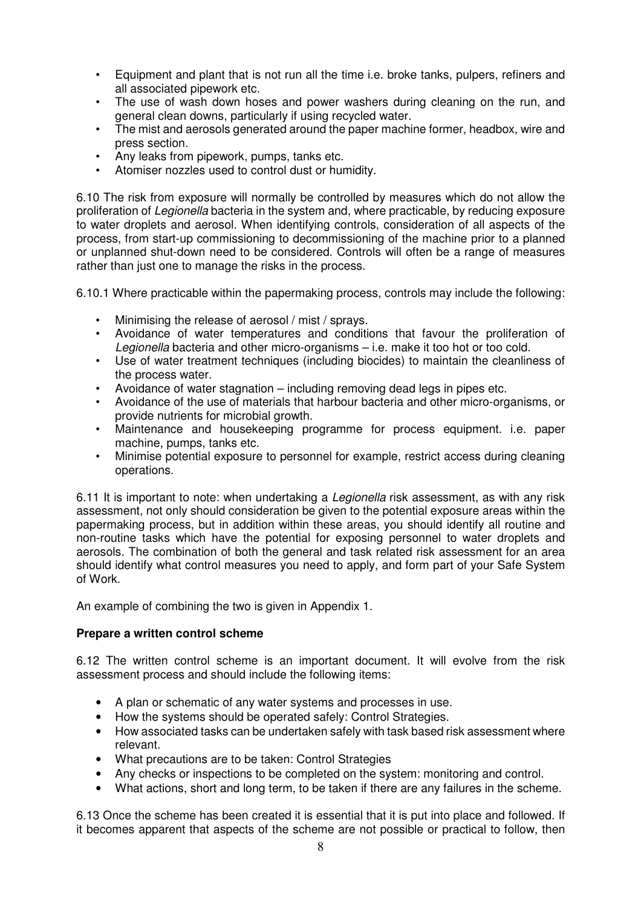- Equipment and plant that is not run all the time i.e. broke tanks, pulpers, refiners and all associated pipework etc.
- The use of wash down hoses and power washers during cleaning on the run, and general clean downs, particularly if using recycled water.
- The mist and aerosols generated around the paper machine former, headbox, wire and press section.
- Any leaks from pipework, pumps, tanks etc.
- Atomiser nozzles used to control dust or humidity.

6.10 The risk from exposure will normally be controlled by measures which do not allow the proliferation of Legionella bacteria in the system and, where practicable, by reducing exposure to water droplets and aerosol. When identifying controls, consideration of all aspects of the process, from start-up commissioning to decommissioning of the machine prior to a planned or unplanned shut-down need to be considered. Controls will often be a range of measures rather than just one to manage the risks in the process.

6.10.1 Where practicable within the papermaking process, controls may include the following:

- Minimising the release of aerosol / mist / sprays.
- Avoidance of water temperatures and conditions that favour the proliferation of Legionella bacteria and other micro-organisms – i.e. make it too hot or too cold.
- Use of water treatment techniques (including biocides) to maintain the cleanliness of the process water.
- Avoidance of water stagnation including removing dead legs in pipes etc.
- Avoidance of the use of materials that harbour bacteria and other micro-organisms, or provide nutrients for microbial growth.
- Maintenance and housekeeping programme for process equipment. i.e. paper machine, pumps, tanks etc.
- Minimise potential exposure to personnel for example, restrict access during cleaning operations.

6.11 It is important to note: when undertaking a Legionella risk assessment, as with any risk assessment, not only should consideration be given to the potential exposure areas within the papermaking process, but in addition within these areas, you should identify all routine and non-routine tasks which have the potential for exposing personnel to water droplets and aerosols. The combination of both the general and task related risk assessment for an area should identify what control measures you need to apply, and form part of your Safe System of Work.

An example of combining the two is given in Appendix 1.

#### **Prepare a written control scheme**

6.12 The written control scheme is an important document. It will evolve from the risk assessment process and should include the following items:

- A plan or schematic of any water systems and processes in use.
- How the systems should be operated safely: Control Strategies.
- How associated tasks can be undertaken safely with task based risk assessment where relevant.
- What precautions are to be taken: Control Strategies
- Any checks or inspections to be completed on the system: monitoring and control.
- What actions, short and long term, to be taken if there are any failures in the scheme.

6.13 Once the scheme has been created it is essential that it is put into place and followed. If it becomes apparent that aspects of the scheme are not possible or practical to follow, then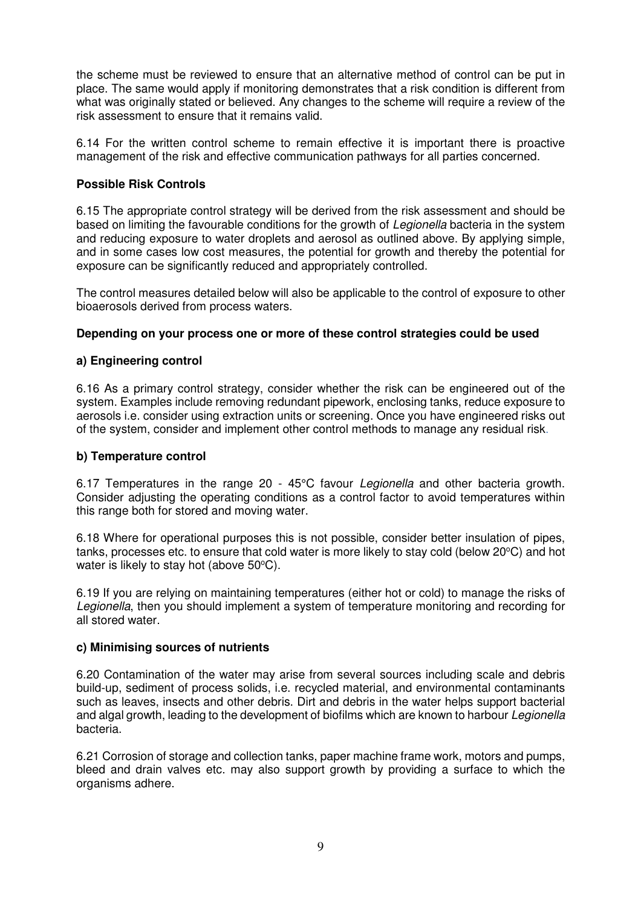the scheme must be reviewed to ensure that an alternative method of control can be put in place. The same would apply if monitoring demonstrates that a risk condition is different from what was originally stated or believed. Any changes to the scheme will require a review of the risk assessment to ensure that it remains valid.

6.14 For the written control scheme to remain effective it is important there is proactive management of the risk and effective communication pathways for all parties concerned.

## **Possible Risk Controls**

6.15 The appropriate control strategy will be derived from the risk assessment and should be based on limiting the favourable conditions for the growth of Legionella bacteria in the system and reducing exposure to water droplets and aerosol as outlined above. By applying simple, and in some cases low cost measures, the potential for growth and thereby the potential for exposure can be significantly reduced and appropriately controlled.

The control measures detailed below will also be applicable to the control of exposure to other bioaerosols derived from process waters.

## **Depending on your process one or more of these control strategies could be used**

## **a) Engineering control**

6.16 As a primary control strategy, consider whether the risk can be engineered out of the system. Examples include removing redundant pipework, enclosing tanks, reduce exposure to aerosols i.e. consider using extraction units or screening. Once you have engineered risks out of the system, consider and implement other control methods to manage any residual risk.

#### **b) Temperature control**

6.17 Temperatures in the range 20 - 45°C favour Legionella and other bacteria growth. Consider adjusting the operating conditions as a control factor to avoid temperatures within this range both for stored and moving water.

6.18 Where for operational purposes this is not possible, consider better insulation of pipes, tanks, processes etc. to ensure that cold water is more likely to stay cold (below  $20^{\circ}$ C) and hot water is likely to stay hot (above  $50^{\circ}$ C).

6.19 If you are relying on maintaining temperatures (either hot or cold) to manage the risks of Legionella, then you should implement a system of temperature monitoring and recording for all stored water.

#### **c) Minimising sources of nutrients**

6.20 Contamination of the water may arise from several sources including scale and debris build-up, sediment of process solids, i.e. recycled material, and environmental contaminants such as leaves, insects and other debris. Dirt and debris in the water helps support bacterial and algal growth, leading to the development of biofilms which are known to harbour Legionella bacteria.

6.21 Corrosion of storage and collection tanks, paper machine frame work, motors and pumps, bleed and drain valves etc. may also support growth by providing a surface to which the organisms adhere.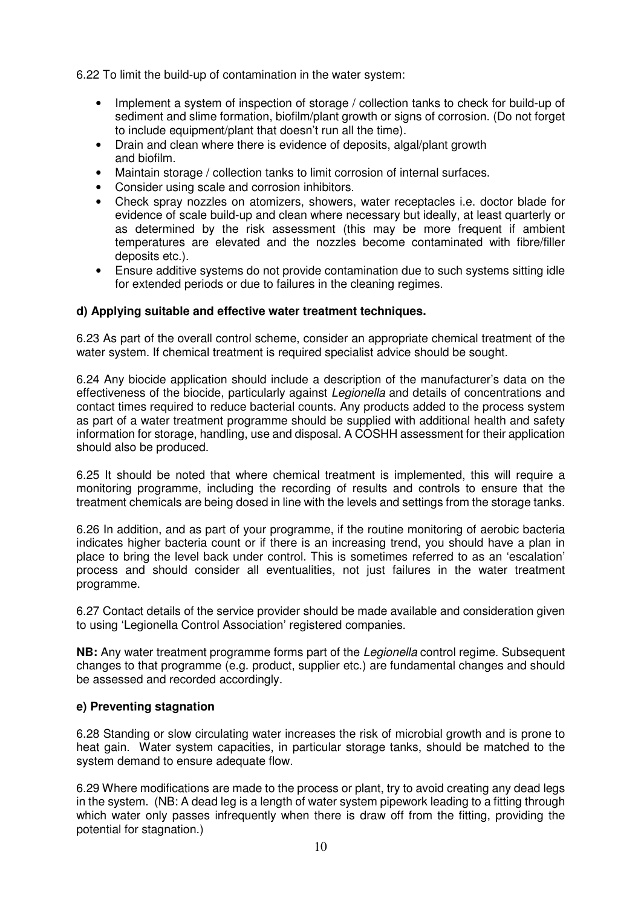6.22 To limit the build-up of contamination in the water system:

- Implement a system of inspection of storage / collection tanks to check for build-up of sediment and slime formation, biofilm/plant growth or signs of corrosion. (Do not forget to include equipment/plant that doesn't run all the time).
- Drain and clean where there is evidence of deposits, algal/plant growth and biofilm.
- Maintain storage / collection tanks to limit corrosion of internal surfaces.
- Consider using scale and corrosion inhibitors.
- Check spray nozzles on atomizers, showers, water receptacles i.e. doctor blade for evidence of scale build-up and clean where necessary but ideally, at least quarterly or as determined by the risk assessment (this may be more frequent if ambient temperatures are elevated and the nozzles become contaminated with fibre/filler deposits etc.).
- Ensure additive systems do not provide contamination due to such systems sitting idle for extended periods or due to failures in the cleaning regimes.

#### **d) Applying suitable and effective water treatment techniques.**

6.23 As part of the overall control scheme, consider an appropriate chemical treatment of the water system. If chemical treatment is required specialist advice should be sought.

6.24 Any biocide application should include a description of the manufacturer's data on the effectiveness of the biocide, particularly against Legionella and details of concentrations and contact times required to reduce bacterial counts. Any products added to the process system as part of a water treatment programme should be supplied with additional health and safety information for storage, handling, use and disposal. A COSHH assessment for their application should also be produced.

6.25 It should be noted that where chemical treatment is implemented, this will require a monitoring programme, including the recording of results and controls to ensure that the treatment chemicals are being dosed in line with the levels and settings from the storage tanks.

6.26 In addition, and as part of your programme, if the routine monitoring of aerobic bacteria indicates higher bacteria count or if there is an increasing trend, you should have a plan in place to bring the level back under control. This is sometimes referred to as an 'escalation' process and should consider all eventualities, not just failures in the water treatment programme.

6.27 Contact details of the service provider should be made available and consideration given to using 'Legionella Control Association' registered companies.

**NB:** Any water treatment programme forms part of the Legionella control regime. Subsequent changes to that programme (e.g. product, supplier etc.) are fundamental changes and should be assessed and recorded accordingly.

#### **e) Preventing stagnation**

6.28 Standing or slow circulating water increases the risk of microbial growth and is prone to heat gain. Water system capacities, in particular storage tanks, should be matched to the system demand to ensure adequate flow.

6.29 Where modifications are made to the process or plant, try to avoid creating any dead legs in the system. (NB: A dead leg is a length of water system pipework leading to a fitting through which water only passes infrequently when there is draw off from the fitting, providing the potential for stagnation.)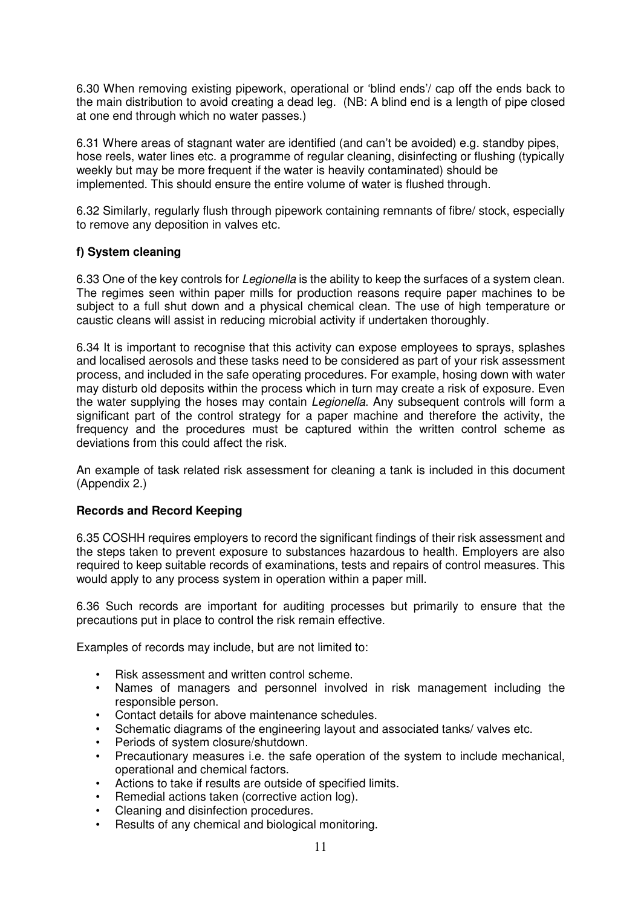6.30 When removing existing pipework, operational or 'blind ends'/ cap off the ends back to the main distribution to avoid creating a dead leg. (NB: A blind end is a length of pipe closed at one end through which no water passes.)

6.31 Where areas of stagnant water are identified (and can't be avoided) e.g. standby pipes, hose reels, water lines etc. a programme of regular cleaning, disinfecting or flushing (typically weekly but may be more frequent if the water is heavily contaminated) should be implemented. This should ensure the entire volume of water is flushed through.

6.32 Similarly, regularly flush through pipework containing remnants of fibre/ stock, especially to remove any deposition in valves etc.

## **f) System cleaning**

6.33 One of the key controls for *Legionella* is the ability to keep the surfaces of a system clean. The regimes seen within paper mills for production reasons require paper machines to be subject to a full shut down and a physical chemical clean. The use of high temperature or caustic cleans will assist in reducing microbial activity if undertaken thoroughly.

6.34 It is important to recognise that this activity can expose employees to sprays, splashes and localised aerosols and these tasks need to be considered as part of your risk assessment process, and included in the safe operating procedures. For example, hosing down with water may disturb old deposits within the process which in turn may create a risk of exposure. Even the water supplying the hoses may contain *Legionella*. Any subsequent controls will form a significant part of the control strategy for a paper machine and therefore the activity, the frequency and the procedures must be captured within the written control scheme as deviations from this could affect the risk.

An example of task related risk assessment for cleaning a tank is included in this document (Appendix 2.)

#### **Records and Record Keeping**

6.35 COSHH requires employers to record the significant findings of their risk assessment and the steps taken to prevent exposure to substances hazardous to health. Employers are also required to keep suitable records of examinations, tests and repairs of control measures. This would apply to any process system in operation within a paper mill.

6.36 Such records are important for auditing processes but primarily to ensure that the precautions put in place to control the risk remain effective.

Examples of records may include, but are not limited to:

- Risk assessment and written control scheme.
- Names of managers and personnel involved in risk management including the responsible person.
- Contact details for above maintenance schedules.
- Schematic diagrams of the engineering layout and associated tanks/ valves etc.
- Periods of system closure/shutdown.
- Precautionary measures i.e. the safe operation of the system to include mechanical, operational and chemical factors.
- Actions to take if results are outside of specified limits.
- Remedial actions taken (corrective action log).
- Cleaning and disinfection procedures.
- Results of any chemical and biological monitoring.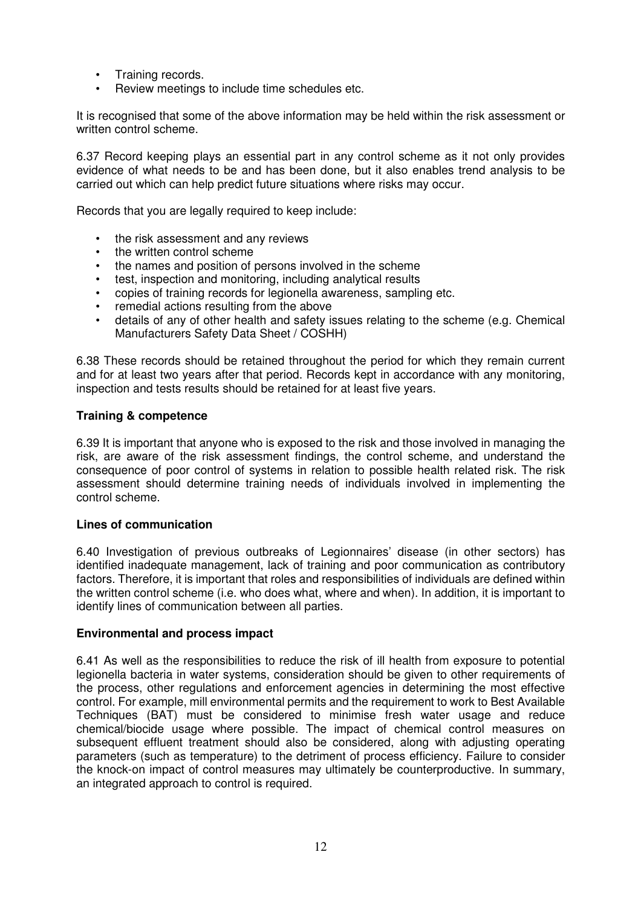- Training records.
- Review meetings to include time schedules etc.

It is recognised that some of the above information may be held within the risk assessment or written control scheme.

6.37 Record keeping plays an essential part in any control scheme as it not only provides evidence of what needs to be and has been done, but it also enables trend analysis to be carried out which can help predict future situations where risks may occur.

Records that you are legally required to keep include:

- the risk assessment and any reviews
- the written control scheme
- the names and position of persons involved in the scheme
- test, inspection and monitoring, including analytical results
- copies of training records for legionella awareness, sampling etc.
- remedial actions resulting from the above
- details of any of other health and safety issues relating to the scheme (e.g. Chemical Manufacturers Safety Data Sheet / COSHH)

6.38 These records should be retained throughout the period for which they remain current and for at least two years after that period. Records kept in accordance with any monitoring, inspection and tests results should be retained for at least five years.

#### **Training & competence**

6.39 It is important that anyone who is exposed to the risk and those involved in managing the risk, are aware of the risk assessment findings, the control scheme, and understand the consequence of poor control of systems in relation to possible health related risk. The risk assessment should determine training needs of individuals involved in implementing the control scheme.

#### **Lines of communication**

6.40 Investigation of previous outbreaks of Legionnaires' disease (in other sectors) has identified inadequate management, lack of training and poor communication as contributory factors. Therefore, it is important that roles and responsibilities of individuals are defined within the written control scheme (i.e. who does what, where and when). In addition, it is important to identify lines of communication between all parties.

#### **Environmental and process impact**

6.41 As well as the responsibilities to reduce the risk of ill health from exposure to potential legionella bacteria in water systems, consideration should be given to other requirements of the process, other regulations and enforcement agencies in determining the most effective control. For example, mill environmental permits and the requirement to work to Best Available Techniques (BAT) must be considered to minimise fresh water usage and reduce chemical/biocide usage where possible. The impact of chemical control measures on subsequent effluent treatment should also be considered, along with adjusting operating parameters (such as temperature) to the detriment of process efficiency. Failure to consider the knock-on impact of control measures may ultimately be counterproductive. In summary, an integrated approach to control is required.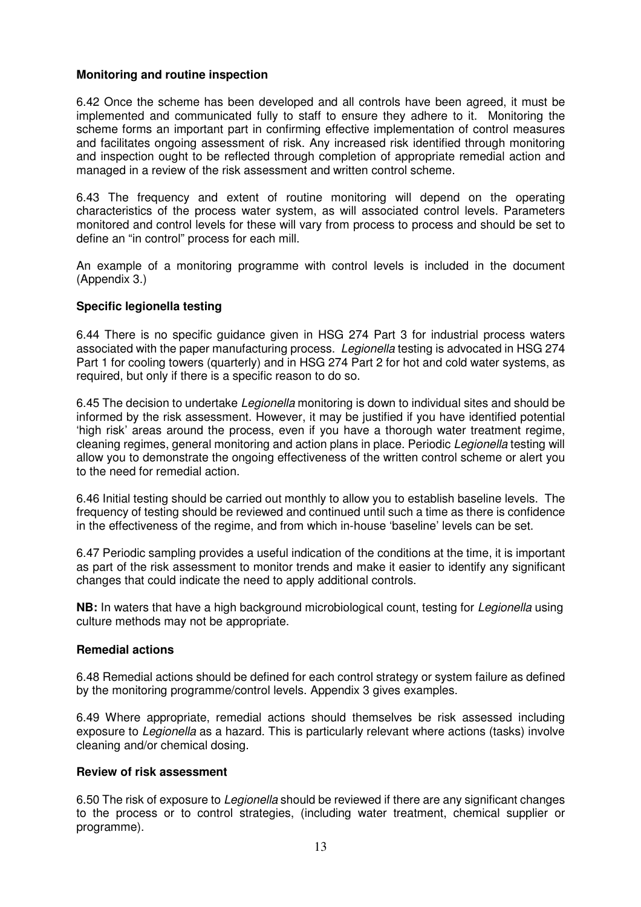## **Monitoring and routine inspection**

6.42 Once the scheme has been developed and all controls have been agreed, it must be implemented and communicated fully to staff to ensure they adhere to it. Monitoring the scheme forms an important part in confirming effective implementation of control measures and facilitates ongoing assessment of risk. Any increased risk identified through monitoring and inspection ought to be reflected through completion of appropriate remedial action and managed in a review of the risk assessment and written control scheme.

6.43 The frequency and extent of routine monitoring will depend on the operating characteristics of the process water system, as will associated control levels. Parameters monitored and control levels for these will vary from process to process and should be set to define an "in control" process for each mill.

An example of a monitoring programme with control levels is included in the document (Appendix 3.)

## **Specific legionella testing**

6.44 There is no specific guidance given in HSG 274 Part 3 for industrial process waters associated with the paper manufacturing process. Legionella testing is advocated in HSG 274 Part 1 for cooling towers (quarterly) and in HSG 274 Part 2 for hot and cold water systems, as required, but only if there is a specific reason to do so.

6.45 The decision to undertake Legionella monitoring is down to individual sites and should be informed by the risk assessment. However, it may be justified if you have identified potential 'high risk' areas around the process, even if you have a thorough water treatment regime, cleaning regimes, general monitoring and action plans in place. Periodic Legionella testing will allow you to demonstrate the ongoing effectiveness of the written control scheme or alert you to the need for remedial action.

6.46 Initial testing should be carried out monthly to allow you to establish baseline levels. The frequency of testing should be reviewed and continued until such a time as there is confidence in the effectiveness of the regime, and from which in-house 'baseline' levels can be set.

6.47 Periodic sampling provides a useful indication of the conditions at the time, it is important as part of the risk assessment to monitor trends and make it easier to identify any significant changes that could indicate the need to apply additional controls.

**NB:** In waters that have a high background microbiological count, testing for *Legionella* using culture methods may not be appropriate.

#### **Remedial actions**

6.48 Remedial actions should be defined for each control strategy or system failure as defined by the monitoring programme/control levels. Appendix 3 gives examples.

6.49 Where appropriate, remedial actions should themselves be risk assessed including exposure to *Legionella* as a hazard. This is particularly relevant where actions (tasks) involve cleaning and/or chemical dosing.

## **Review of risk assessment**

6.50 The risk of exposure to Legionella should be reviewed if there are any significant changes to the process or to control strategies, (including water treatment, chemical supplier or programme).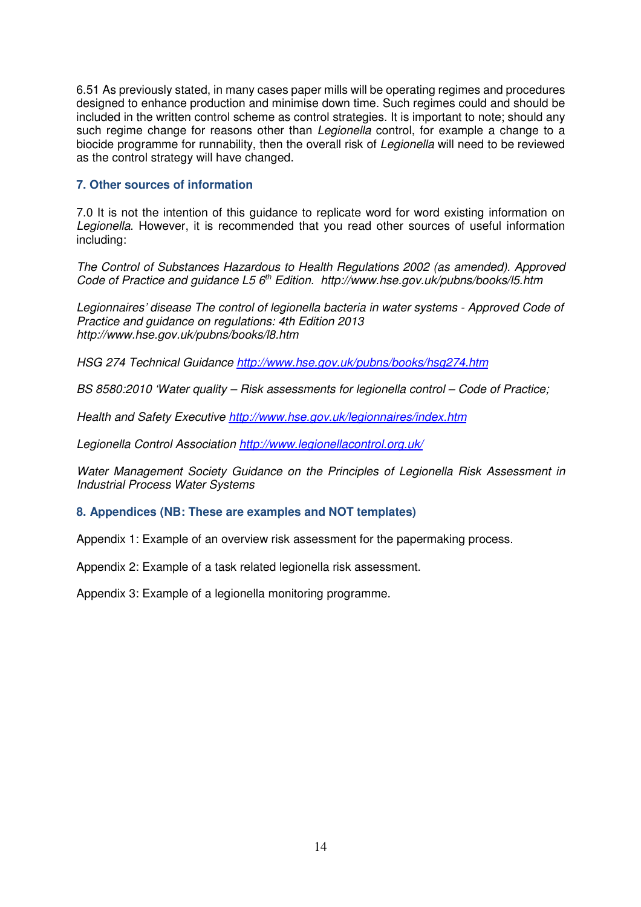6.51 As previously stated, in many cases paper mills will be operating regimes and procedures designed to enhance production and minimise down time. Such regimes could and should be included in the written control scheme as control strategies. It is important to note; should any such regime change for reasons other than Legionella control, for example a change to a biocide programme for runnability, then the overall risk of Legionella will need to be reviewed as the control strategy will have changed.

#### **7. Other sources of information**

7.0 It is not the intention of this guidance to replicate word for word existing information on Legionella. However, it is recommended that you read other sources of useful information including:

The Control of Substances Hazardous to Health Regulations 2002 (as amended). Approved Code of Practice and guidance L5 6<sup>th</sup> Edition. http://www.hse.gov.uk/pubns/books/l5.htm

Legionnaires' disease The control of legionella bacteria in water systems - Approved Code of Practice and guidance on regulations: 4th Edition 2013 http://www.hse.gov.uk/pubns/books/l8.htm

HSG 274 Technical Guidance http://www.hse.gov.uk/pubns/books/hsg274.htm

BS 8580:2010 'Water quality – Risk assessments for legionella control – Code of Practice;

Health and Safety Executive http://www.hse.gov.uk/legionnaires/index.htm

Legionella Control Association http://www.legionellacontrol.org.uk/

Water Management Society Guidance on the Principles of Legionella Risk Assessment in Industrial Process Water Systems

#### **8. Appendices (NB: These are examples and NOT templates)**

Appendix 1: Example of an overview risk assessment for the papermaking process.

Appendix 2: Example of a task related legionella risk assessment.

Appendix 3: Example of a legionella monitoring programme.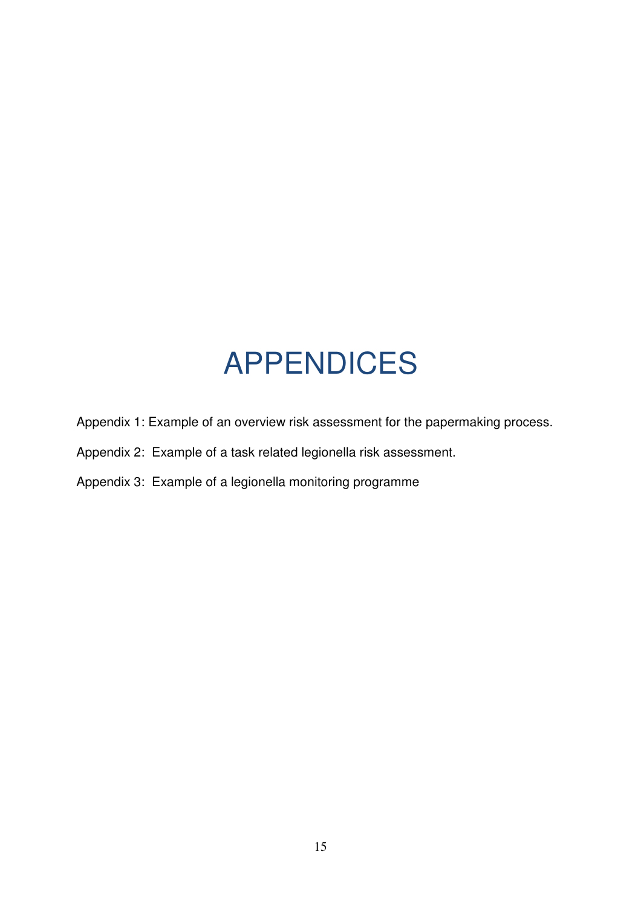## APPENDICES

- Appendix 1: Example of an overview risk assessment for the papermaking process.
- Appendix 2: Example of a task related legionella risk assessment.
- Appendix 3: Example of a legionella monitoring programme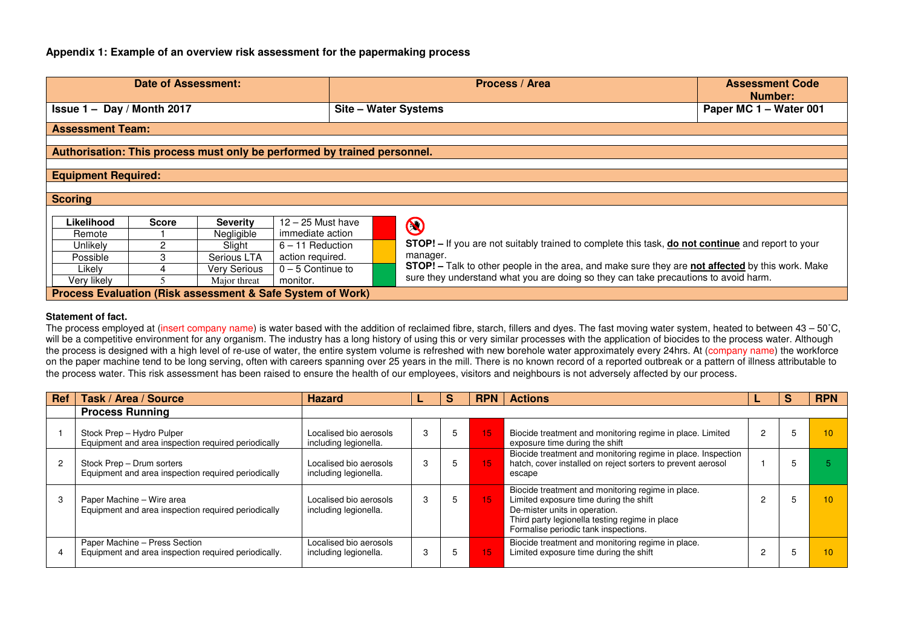#### **Appendix 1: Example of an overview risk assessment for the papermaking process**

| Date of Assessment:                                                      |       |                 |                     |                      | Process / Area                                                                                                  | <b>Assessment Code</b><br><b>Number:</b> |
|--------------------------------------------------------------------------|-------|-----------------|---------------------|----------------------|-----------------------------------------------------------------------------------------------------------------|------------------------------------------|
| Issue $1 - Day / Month 2017$                                             |       |                 |                     | Site - Water Systems |                                                                                                                 | Paper MC 1 - Water 001                   |
| <b>Assessment Team:</b>                                                  |       |                 |                     |                      |                                                                                                                 |                                          |
| Authorisation: This process must only be performed by trained personnel. |       |                 |                     |                      |                                                                                                                 |                                          |
| <b>Equipment Required:</b>                                               |       |                 |                     |                      |                                                                                                                 |                                          |
|                                                                          |       |                 |                     |                      |                                                                                                                 |                                          |
| <b>Scoring</b>                                                           |       |                 |                     |                      |                                                                                                                 |                                          |
|                                                                          |       |                 |                     |                      |                                                                                                                 |                                          |
| Likelihood                                                               | Score | <b>Severity</b> | $12 - 25$ Must have |                      | $\bigcirc$                                                                                                      |                                          |
| Remote                                                                   |       | Negligible      | immediate action    |                      |                                                                                                                 |                                          |
| Unlikely                                                                 |       | Slight          | $6 - 11$ Reduction  |                      | <b>STOP!</b> – If you are not suitably trained to complete this task, <b>do not continue</b> and report to your |                                          |
| Possible                                                                 | 3     | Serious LTA     | action required.    |                      | manager.                                                                                                        |                                          |
| Likely                                                                   |       | Very Serious    | $0 - 5$ Continue to |                      | <b>STOP!</b> - Talk to other people in the area, and make sure they are not affected by this work. Make         |                                          |
| Very likely                                                              |       | Major threat    | monitor.            |                      | sure they understand what you are doing so they can take precautions to avoid harm.                             |                                          |
| Process Evaluation (Risk assessment & Safe System of Work)               |       |                 |                     |                      |                                                                                                                 |                                          |

#### **Statement of fact.**

The process employed at (insert company name) is water based with the addition of reclaimed fibre, starch, fillers and dyes. The fast moving water system, heated to between 43 – 50°C, will be a competitive environment for any organism. The industry has a long history of using this or very similar processes with the application of biocides to the process water. Although the process is designed with a high level of re-use of water, the entire system volume is refreshed with new borehole water approximately every 24hrs. At (company name) the workforce on the paper machine tend to be long serving, often with careers spanning over 25 years in the mill. There is no known record of a reported outbreak or a pattern of illness attributable to the process water. This risk assessment has been raised to ensure the health of our employees, visitors and neighbours is not adversely affected by our process.

| Ref | Task / Area / Source                                                                  | <b>Hazard</b>                                   |  | <b>RPN</b> | <b>Actions</b>                                                                                                                                                                                                         |  | <b>RPN</b> |
|-----|---------------------------------------------------------------------------------------|-------------------------------------------------|--|------------|------------------------------------------------------------------------------------------------------------------------------------------------------------------------------------------------------------------------|--|------------|
|     | <b>Process Running</b>                                                                |                                                 |  |            |                                                                                                                                                                                                                        |  |            |
|     | Stock Prep - Hydro Pulper<br>Equipment and area inspection required periodically      | Localised bio aerosols<br>including legionella. |  | 15         | Biocide treatment and monitoring regime in place. Limited<br>exposure time during the shift                                                                                                                            |  |            |
|     | Stock Prep - Drum sorters<br>Equipment and area inspection required periodically      | Localised bio aerosols<br>including legionella. |  | \15'       | Biocide treatment and monitoring regime in place. Inspection<br>hatch, cover installed on reject sorters to prevent aerosol<br>escape                                                                                  |  |            |
|     | Paper Machine - Wire area<br>Equipment and area inspection required periodically      | Localised bio aerosols<br>including legionella. |  | 15         | Biocide treatment and monitoring regime in place.<br>Limited exposure time during the shift<br>De-mister units in operation.<br>Third party legionella testing regime in place<br>Formalise periodic tank inspections. |  |            |
|     | Paper Machine - Press Section<br>Equipment and area inspection required periodically. | Localised bio aerosols<br>including legionella. |  | 15         | Biocide treatment and monitoring regime in place.<br>Limited exposure time during the shift                                                                                                                            |  |            |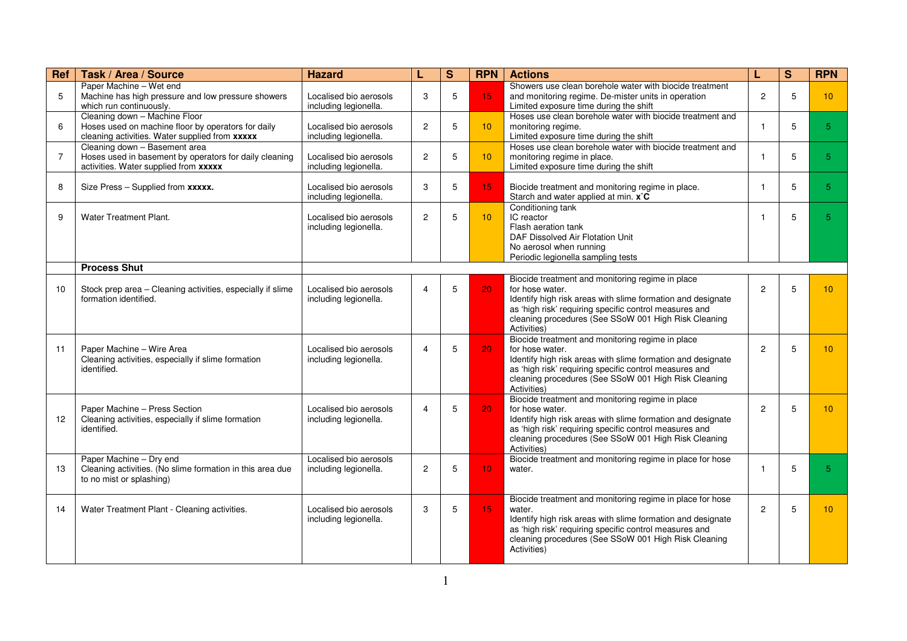| Ref            | Task / Area / Source                                                                                                                  | <b>Hazard</b>                                   |                         | S | <b>RPN</b>      | <b>Actions</b>                                                                                                                                                                                                                                                      | L              | S | <b>RPN</b>      |
|----------------|---------------------------------------------------------------------------------------------------------------------------------------|-------------------------------------------------|-------------------------|---|-----------------|---------------------------------------------------------------------------------------------------------------------------------------------------------------------------------------------------------------------------------------------------------------------|----------------|---|-----------------|
| 5              | Paper Machine - Wet end<br>Machine has high pressure and low pressure showers<br>which run continuously.                              | Localised bio aerosols<br>including legionella. | 3                       | 5 | 15              | Showers use clean borehole water with biocide treatment<br>and monitoring regime. De-mister units in operation<br>Limited exposure time during the shift                                                                                                            | $\mathbf{2}$   | 5 | 10              |
| 6              | Cleaning down - Machine Floor<br>Hoses used on machine floor by operators for daily<br>cleaning activities. Water supplied from xxxxx | Localised bio aerosols<br>including legionella. | 2                       | 5 | 10              | Hoses use clean borehole water with biocide treatment and<br>monitoring regime.<br>Limited exposure time during the shift                                                                                                                                           | 1              | 5 | 5 <sup>1</sup>  |
| $\overline{7}$ | Cleaning down - Basement area<br>Hoses used in basement by operators for daily cleaning<br>activities. Water supplied from xxxxx      | Localised bio aerosols<br>including legionella. | $\overline{2}$          | 5 | 10 <sup>°</sup> | Hoses use clean borehole water with biocide treatment and<br>monitoring regime in place.<br>Limited exposure time during the shift                                                                                                                                  | $\mathbf{1}$   | 5 | 5 <sup>1</sup>  |
| 8              | Size Press - Supplied from xxxxx.                                                                                                     | Localised bio aerosols<br>including legionella. | 3                       | 5 | 15              | Biocide treatment and monitoring regime in place.<br>Starch and water applied at min. x°C                                                                                                                                                                           | 1              | 5 | 5 <sup>5</sup>  |
| 9              | Water Treatment Plant.                                                                                                                | Localised bio aerosols<br>including legionella. | 2                       | 5 | 10 <sup>°</sup> | Conditioning tank<br>IC reactor<br>Flash aeration tank<br>DAF Dissolved Air Flotation Unit<br>No aerosol when running<br>Periodic legionella sampling tests                                                                                                         | 1              | 5 | 5 <sup>1</sup>  |
|                | <b>Process Shut</b>                                                                                                                   |                                                 |                         |   |                 |                                                                                                                                                                                                                                                                     |                |   |                 |
| 10             | Stock prep area - Cleaning activities, especially if slime<br>formation identified.                                                   | Localised bio aerosols<br>including legionella. | 4                       | 5 | 20              | Biocide treatment and monitoring regime in place<br>for hose water.<br>Identify high risk areas with slime formation and designate<br>as 'high risk' requiring specific control measures and<br>cleaning procedures (See SSoW 001 High Risk Cleaning<br>Activities) | $\overline{c}$ | 5 | 10 <sup>1</sup> |
| 11             | Paper Machine - Wire Area<br>Cleaning activities, especially if slime formation<br>identified.                                        | Localised bio aerosols<br>including legionella. | 4                       | 5 | 20 <sub>1</sub> | Biocide treatment and monitoring regime in place<br>for hose water.<br>Identify high risk areas with slime formation and designate<br>as 'high risk' requiring specific control measures and<br>cleaning procedures (See SSoW 001 High Risk Cleaning<br>Activities) | $\overline{2}$ | 5 | 10 <sup>1</sup> |
| 12             | Paper Machine - Press Section<br>Cleaning activities, especially if slime formation<br>identified.                                    | Localised bio aerosols<br>including legionella. | $\overline{\mathbf{4}}$ | 5 | 20              | Biocide treatment and monitoring regime in place<br>for hose water.<br>Identify high risk areas with slime formation and designate<br>as 'high risk' requiring specific control measures and<br>cleaning procedures (See SSoW 001 High Risk Cleaning<br>Activities) | $\overline{2}$ | 5 | 10 <sup>1</sup> |
| 13             | Paper Machine - Dry end<br>Cleaning activities. (No slime formation in this area due<br>to no mist or splashing)                      | Localised bio aerosols<br>including legionella. | $\overline{2}$          | 5 | 10 <sup>°</sup> | Biocide treatment and monitoring regime in place for hose<br>water.                                                                                                                                                                                                 | -1             | 5 | 5               |
| 14             | Water Treatment Plant - Cleaning activities.                                                                                          | Localised bio aerosols<br>including legionella. | 3                       | 5 | 15              | Biocide treatment and monitoring regime in place for hose<br>water.<br>Identify high risk areas with slime formation and designate<br>as 'high risk' requiring specific control measures and<br>cleaning procedures (See SSoW 001 High Risk Cleaning<br>Activities) | $\overline{2}$ | 5 | 10 <sup>1</sup> |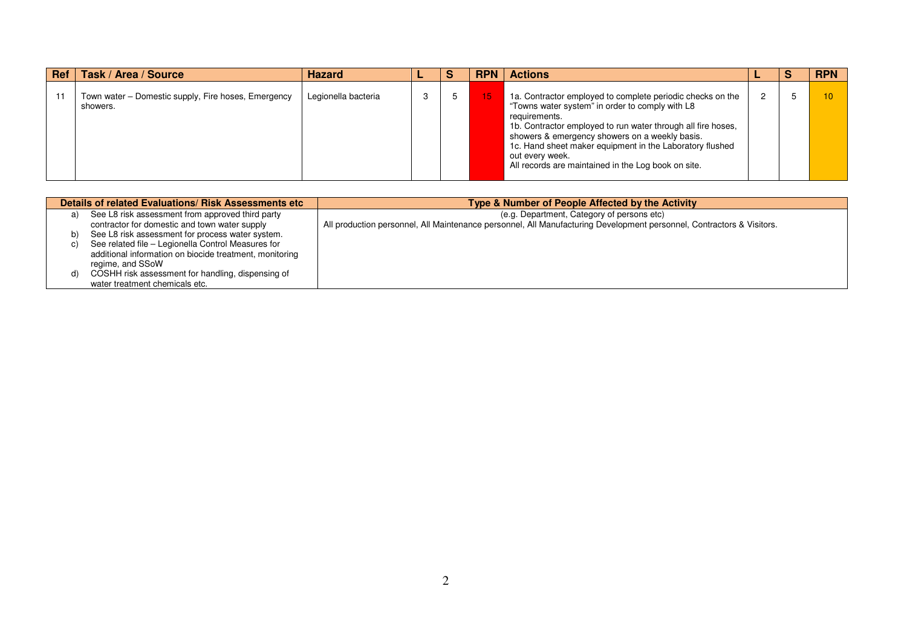|    | Ref   Task / Area / Source                                      | <b>Hazard</b>       |  | <b>RPN</b> | <b>Actions</b>                                                                                                                                                                                                                                                                                                                                                                         |  | <b>RPN</b> |
|----|-----------------------------------------------------------------|---------------------|--|------------|----------------------------------------------------------------------------------------------------------------------------------------------------------------------------------------------------------------------------------------------------------------------------------------------------------------------------------------------------------------------------------------|--|------------|
| 11 | Town water – Domestic supply, Fire hoses, Emergency<br>showers. | Legionella bacteria |  | 15.        | 1a. Contractor employed to complete periodic checks on the<br>"Towns water system" in order to comply with L8<br>requirements.<br>1b. Contractor employed to run water through all fire hoses,<br>showers & emergency showers on a weekly basis.<br>1c. Hand sheet maker equipment in the Laboratory flushed<br>out every week.<br>All records are maintained in the Log book on site. |  |            |

|    | Details of related Evaluations/ Risk Assessments etc    | Type & Number of People Affected by the Activity                                                                      |  |  |  |  |  |
|----|---------------------------------------------------------|-----------------------------------------------------------------------------------------------------------------------|--|--|--|--|--|
| a) | See L8 risk assessment from approved third party        | (e.g. Department, Category of persons etc)                                                                            |  |  |  |  |  |
|    | contractor for domestic and town water supply           | All production personnel, All Maintenance personnel, All Manufacturing Development personnel, Contractors & Visitors. |  |  |  |  |  |
| b) | See L8 risk assessment for process water system.        |                                                                                                                       |  |  |  |  |  |
| C) | See related file - Legionella Control Measures for      |                                                                                                                       |  |  |  |  |  |
|    | additional information on biocide treatment, monitoring |                                                                                                                       |  |  |  |  |  |
|    | regime, and SSoW                                        |                                                                                                                       |  |  |  |  |  |
| d) | COSHH risk assessment for handling, dispensing of       |                                                                                                                       |  |  |  |  |  |
|    | water treatment chemicals etc.                          |                                                                                                                       |  |  |  |  |  |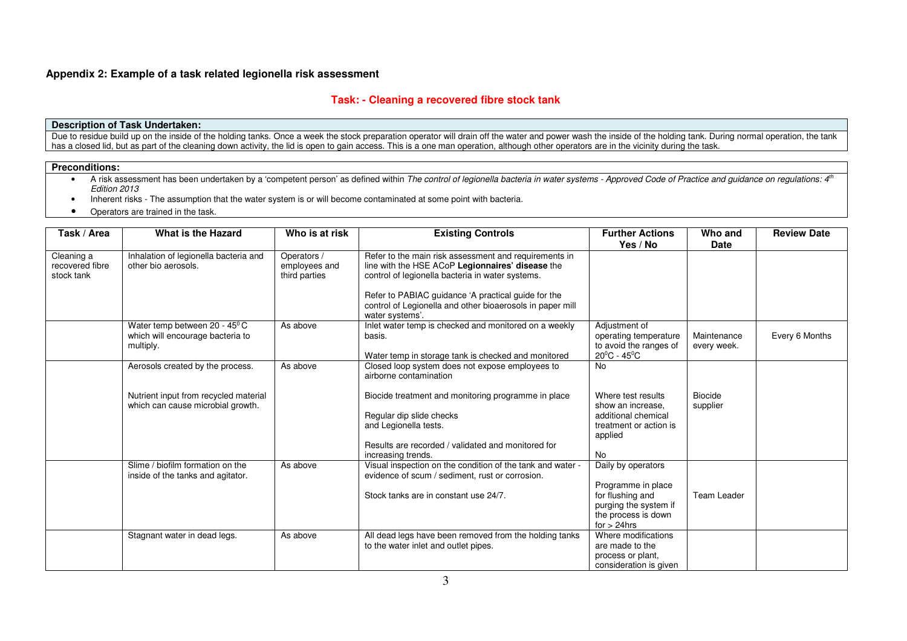#### **Appendix 2: Example of a task related legionella risk assessment**

#### **Task: - Cleaning a recovered fibre stock tank**

#### **Description of Task Undertaken:**

Due to residue build up on the inside of the holding tanks. Once a week the stock preparation operator will drain off the water and power wash the inside of the holding tank. During normal operation, the tank has a closed lid, but as part of the cleaning down activity, the lid is open to gain access. This is a one man operation, although other operators are in the vicinity during the task.

#### **Preconditions:**

• A risk assessment has been undertaken by a 'competent person' as defined within The control of legionella bacteria in water systems - Approved Code of Practice and guidance on regulations: 4<sup>th</sup> Edition 2013

- Inherent risks The assumption that the water system is or will become contaminated at some point with bacteria.
- •Operators are trained in the task.

| Task / Area                                 | What is the Hazard                                                            | Who is at risk                                | <b>Existing Controls</b>                                                                                                                                                                                                                                                                             | <b>Further Actions</b><br>Yes / No                                                                                            | Who and<br><b>Date</b>     | <b>Review Date</b> |
|---------------------------------------------|-------------------------------------------------------------------------------|-----------------------------------------------|------------------------------------------------------------------------------------------------------------------------------------------------------------------------------------------------------------------------------------------------------------------------------------------------------|-------------------------------------------------------------------------------------------------------------------------------|----------------------------|--------------------|
| Cleaning a<br>recovered fibre<br>stock tank | Inhalation of legionella bacteria and<br>other bio aerosols.                  | Operators /<br>employees and<br>third parties | Refer to the main risk assessment and requirements in<br>line with the HSE ACoP Legionnaires' disease the<br>control of legionella bacteria in water systems.<br>Refer to PABIAC guidance 'A practical guide for the<br>control of Legionella and other bioaerosols in paper mill<br>water systems'. |                                                                                                                               |                            |                    |
|                                             | Water temp between 20 - 45°C<br>which will encourage bacteria to<br>multiply. | As above                                      | Inlet water temp is checked and monitored on a weekly<br>basis.<br>Water temp in storage tank is checked and monitored                                                                                                                                                                               | Adjustment of<br>operating temperature<br>to avoid the ranges of<br>$20^{\circ}$ C - 45 $^{\circ}$ C                          | Maintenance<br>every week. | Every 6 Months     |
|                                             | Aerosols created by the process.                                              | As above                                      | Closed loop system does not expose employees to<br>airborne contamination                                                                                                                                                                                                                            | <b>No</b>                                                                                                                     |                            |                    |
|                                             | Nutrient input from recycled material<br>which can cause microbial growth.    |                                               | Biocide treatment and monitoring programme in place<br>Regular dip slide checks<br>and Legionella tests.<br>Results are recorded / validated and monitored for<br>increasing trends.                                                                                                                 | Where test results<br>show an increase.<br>additional chemical<br>treatment or action is<br>applied<br><b>No</b>              | Biocide<br>supplier        |                    |
|                                             | Slime / biofilm formation on the<br>inside of the tanks and agitator.         | As above                                      | Visual inspection on the condition of the tank and water -<br>evidence of scum / sediment, rust or corrosion.<br>Stock tanks are in constant use 24/7.                                                                                                                                               | Daily by operators<br>Programme in place<br>for flushing and<br>purging the system if<br>the process is down<br>for $>$ 24hrs | <b>Team Leader</b>         |                    |
|                                             | Stagnant water in dead legs.                                                  | As above                                      | All dead legs have been removed from the holding tanks<br>to the water inlet and outlet pipes.                                                                                                                                                                                                       | Where modifications<br>are made to the<br>process or plant,<br>consideration is given                                         |                            |                    |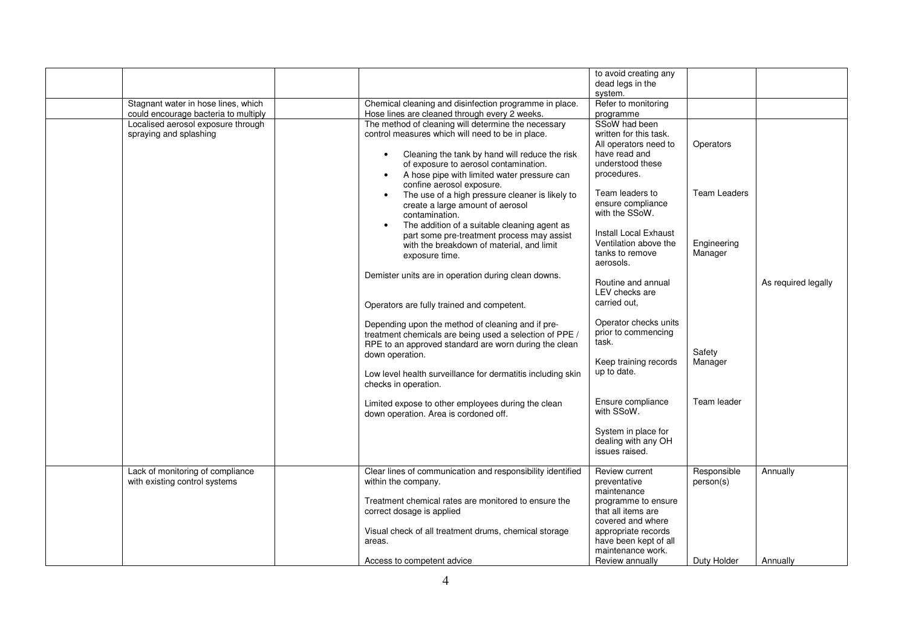|                                      |                                                                                         | to avoid creating any                  |                     |                     |
|--------------------------------------|-----------------------------------------------------------------------------------------|----------------------------------------|---------------------|---------------------|
|                                      |                                                                                         | dead legs in the                       |                     |                     |
|                                      |                                                                                         | system.                                |                     |                     |
| Stagnant water in hose lines, which  | Chemical cleaning and disinfection programme in place.                                  | Refer to monitoring                    |                     |                     |
| could encourage bacteria to multiply | Hose lines are cleaned through every 2 weeks.                                           | programme                              |                     |                     |
| Localised aerosol exposure through   | The method of cleaning will determine the necessary                                     | SSoW had been                          |                     |                     |
| spraying and splashing               | control measures which will need to be in place.                                        | written for this task.                 |                     |                     |
|                                      |                                                                                         | All operators need to<br>have read and | Operators           |                     |
|                                      | Cleaning the tank by hand will reduce the risk<br>of exposure to aerosol contamination. | understood these                       |                     |                     |
|                                      | A hose pipe with limited water pressure can                                             | procedures.                            |                     |                     |
|                                      | confine aerosol exposure.                                                               |                                        |                     |                     |
|                                      | The use of a high pressure cleaner is likely to                                         | Team leaders to                        | <b>Team Leaders</b> |                     |
|                                      | create a large amount of aerosol                                                        | ensure compliance                      |                     |                     |
|                                      | contamination.                                                                          | with the SSoW.                         |                     |                     |
|                                      | The addition of a suitable cleaning agent as                                            |                                        |                     |                     |
|                                      | part some pre-treatment process may assist                                              | <b>Install Local Exhaust</b>           |                     |                     |
|                                      | with the breakdown of material, and limit                                               | Ventilation above the                  | Engineering         |                     |
|                                      | exposure time.                                                                          | tanks to remove                        | Manager             |                     |
|                                      |                                                                                         | aerosols.                              |                     |                     |
|                                      | Demister units are in operation during clean downs.                                     | Routine and annual                     |                     | As required legally |
|                                      |                                                                                         | LEV checks are                         |                     |                     |
|                                      | Operators are fully trained and competent.                                              | carried out.                           |                     |                     |
|                                      |                                                                                         |                                        |                     |                     |
|                                      | Depending upon the method of cleaning and if pre-                                       | Operator checks units                  |                     |                     |
|                                      | treatment chemicals are being used a selection of PPE /                                 | prior to commencing                    |                     |                     |
|                                      | RPE to an approved standard are worn during the clean                                   | task.                                  |                     |                     |
|                                      | down operation.                                                                         |                                        | Safety              |                     |
|                                      |                                                                                         | Keep training records                  | Manager             |                     |
|                                      | Low level health surveillance for dermatitis including skin                             | up to date.                            |                     |                     |
|                                      | checks in operation.                                                                    |                                        |                     |                     |
|                                      | Limited expose to other employees during the clean                                      | Ensure compliance                      | Team leader         |                     |
|                                      | down operation. Area is cordoned off.                                                   | with SSoW.                             |                     |                     |
|                                      |                                                                                         |                                        |                     |                     |
|                                      |                                                                                         | System in place for                    |                     |                     |
|                                      |                                                                                         | dealing with any OH                    |                     |                     |
|                                      |                                                                                         | issues raised.                         |                     |                     |
| Lack of monitoring of compliance     | Clear lines of communication and responsibility identified                              | Review current                         | Responsible         | Annually            |
| with existing control systems        | within the company.                                                                     | preventative                           | person(s)           |                     |
|                                      |                                                                                         | maintenance                            |                     |                     |
|                                      | Treatment chemical rates are monitored to ensure the                                    | programme to ensure                    |                     |                     |
|                                      | correct dosage is applied                                                               | that all items are                     |                     |                     |
|                                      |                                                                                         | covered and where                      |                     |                     |
|                                      | Visual check of all treatment drums, chemical storage                                   | appropriate records                    |                     |                     |
|                                      | areas.                                                                                  | have been kept of all                  |                     |                     |
|                                      |                                                                                         | maintenance work.                      |                     |                     |
|                                      | Access to competent advice                                                              | Review annually                        | Duty Holder         | Annually            |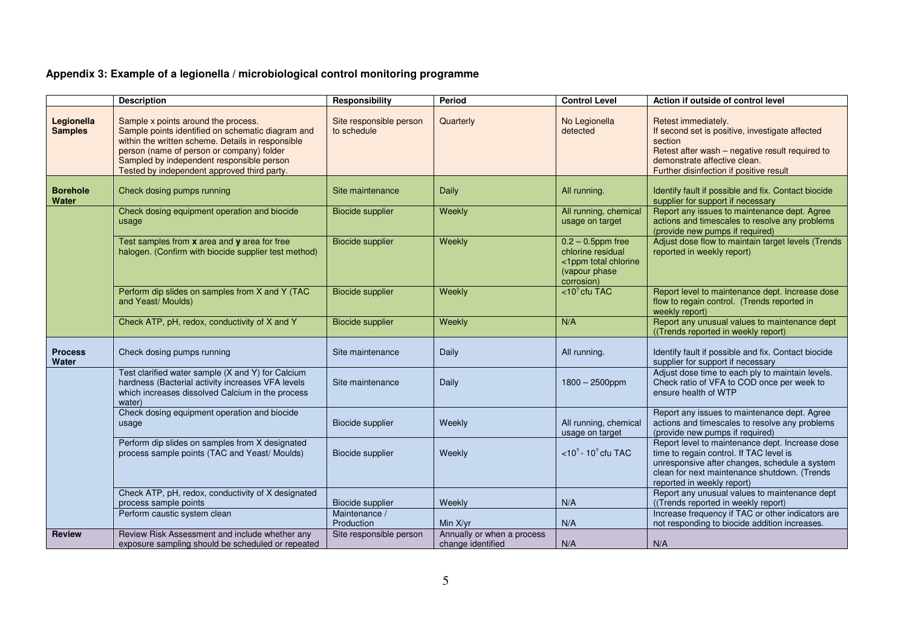## **Appendix 3: Example of a legionella / microbiological control monitoring programme**

|                              | <b>Description</b>                                                                                                                                                                                                                                                                     | Responsibility                         | Period                                          | <b>Control Level</b>                                                                             | Action if outside of control level                                                                                                                                                                                        |
|------------------------------|----------------------------------------------------------------------------------------------------------------------------------------------------------------------------------------------------------------------------------------------------------------------------------------|----------------------------------------|-------------------------------------------------|--------------------------------------------------------------------------------------------------|---------------------------------------------------------------------------------------------------------------------------------------------------------------------------------------------------------------------------|
| Legionella<br><b>Samples</b> | Sample x points around the process.<br>Sample points identified on schematic diagram and<br>within the written scheme. Details in responsible<br>person (name of person or company) folder<br>Sampled by independent responsible person<br>Tested by independent approved third party. | Site responsible person<br>to schedule | Quarterly                                       | No Legionella<br>detected                                                                        | Retest immediately.<br>If second set is positive, investigate affected<br>section<br>Retest after wash - negative result required to<br>demonstrate affective clean.<br>Further disinfection if positive result           |
| <b>Borehole</b><br>Water     | Check dosing pumps running                                                                                                                                                                                                                                                             | Site maintenance                       | Daily                                           | All running.                                                                                     | Identify fault if possible and fix. Contact biocide<br>supplier for support if necessary                                                                                                                                  |
|                              | Check dosing equipment operation and biocide<br>usage                                                                                                                                                                                                                                  | <b>Biocide supplier</b>                | Weekly                                          | All running, chemical<br>usage on target                                                         | Report any issues to maintenance dept. Agree<br>actions and timescales to resolve any problems<br>(provide new pumps if required)                                                                                         |
|                              | Test samples from x area and y area for free<br>halogen. (Confirm with biocide supplier test method)                                                                                                                                                                                   | <b>Biocide supplier</b>                | Weekly                                          | $0.2 - 0.5$ ppm free<br>chlorine residual<br><1ppm total chlorine<br>(vapour phase<br>corrosion) | Adjust dose flow to maintain target levels (Trends<br>reported in weekly report)                                                                                                                                          |
|                              | Perform dip slides on samples from X and Y (TAC<br>and Yeast/ Moulds)                                                                                                                                                                                                                  | <b>Biocide supplier</b>                | Weekly                                          | $<$ 10 <sup>2</sup> cfu TAC                                                                      | Report level to maintenance dept. Increase dose<br>flow to regain control. (Trends reported in<br>weekly report)                                                                                                          |
|                              | Check ATP, pH, redox, conductivity of X and Y                                                                                                                                                                                                                                          | <b>Biocide supplier</b>                | Weekly                                          | N/A                                                                                              | Report any unusual values to maintenance dept<br>((Trends reported in weekly report)                                                                                                                                      |
| <b>Process</b><br>Water      | Check dosing pumps running                                                                                                                                                                                                                                                             | Site maintenance                       | Daily                                           | All running.                                                                                     | Identify fault if possible and fix. Contact biocide<br>supplier for support if necessary                                                                                                                                  |
|                              | Test clarified water sample (X and Y) for Calcium<br>hardness (Bacterial activity increases VFA levels<br>which increases dissolved Calcium in the process<br>water)                                                                                                                   | Site maintenance                       | Daily                                           | 1800 - 2500ppm                                                                                   | Adjust dose time to each ply to maintain levels.<br>Check ratio of VFA to COD once per week to<br>ensure health of WTP                                                                                                    |
|                              | Check dosing equipment operation and biocide<br>usage                                                                                                                                                                                                                                  | <b>Biocide supplier</b>                | Weekly                                          | All running, chemical<br>usage on target                                                         | Report any issues to maintenance dept. Agree<br>actions and timescales to resolve any problems<br>(provide new pumps if required)                                                                                         |
|                              | Perform dip slides on samples from X designated<br>process sample points (TAC and Yeast/ Moulds)                                                                                                                                                                                       | <b>Biocide supplier</b>                | Weekly                                          | $<$ 10 <sup>2</sup> - 10 <sup>2</sup> cfu TAC                                                    | Report level to maintenance dept. Increase dose<br>time to regain control. If TAC level is<br>unresponsive after changes, schedule a system<br>clean for next maintenance shutdown. (Trends<br>reported in weekly report) |
|                              | Check ATP, pH, redox, conductivity of X designated<br>process sample points<br>Perform caustic system clean                                                                                                                                                                            | Biocide supplier<br>Maintenance /      | Weekly                                          | N/A                                                                                              | Report any unusual values to maintenance dept<br>((Trends reported in weekly report)<br>Increase frequency if TAC or other indicators are                                                                                 |
|                              |                                                                                                                                                                                                                                                                                        | Production                             | Min X/yr                                        | N/A                                                                                              | not responding to biocide addition increases.                                                                                                                                                                             |
| <b>Review</b>                | Review Risk Assessment and include whether any<br>exposure sampling should be scheduled or repeated                                                                                                                                                                                    | Site responsible person                | Annually or when a process<br>change identified | N/A                                                                                              | N/A                                                                                                                                                                                                                       |